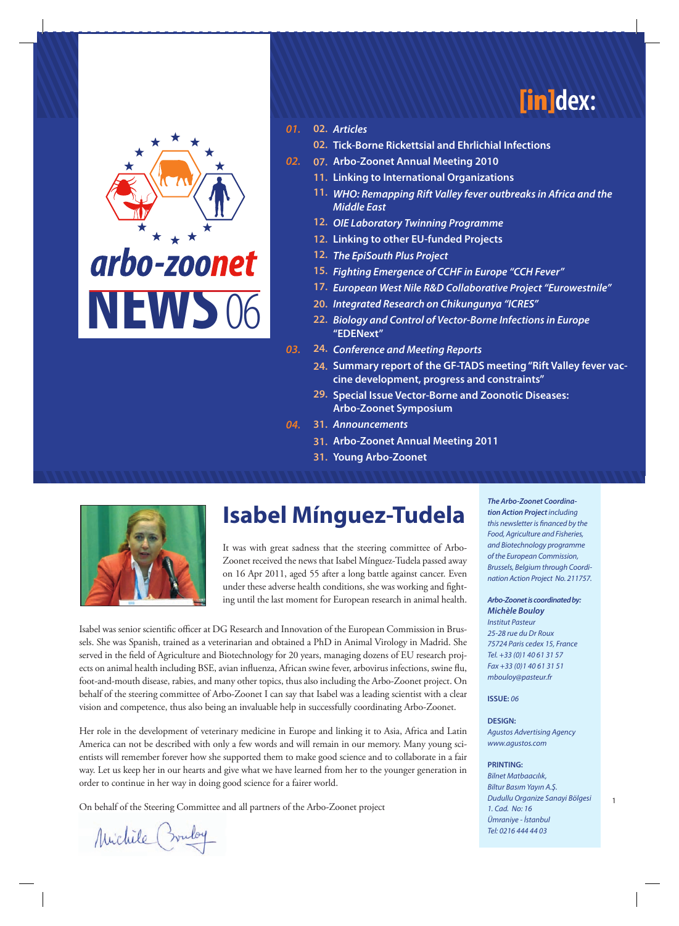



#### *01. Articles* **02.**

- **Tick-Borne Rickettsial and Ehrlichial Infections 02.**
- *02.* **Arbo-Zoonet Annual Meeting 2010 07.**
	- **Linking to International Organizations 11.**
	- *WHO: Remapping Rift Valley fever outbreaks in Africa and the*  **11.** *Middle East*
	- *OIE Laboratory Twinning Programme* **12.**
	- **Linking to other EU-funded Projects 12.**
	- *The EpiSouth Plus Project* **12.**
	- *Fighting Emergence of CCHF in Europe "CCH Fever"* **15.**
	- *European West Nile R&D Collaborative Project "Eurowestnile"* **17.**
	- *Integrated Research on Chikungunya "ICRES"* **20.**
	- *Biology and Control of Vector-Borne Infections in Europe* **22. "EDENext"**
- *03. Conference and Meeting Reports* **24.**
	- **Summary report of the GF-TADS meeting "Rift Valley fever vac-24. cine development, progress and constraints"**
	- **Special Issue Vector-Borne and Zoonotic Diseases: 29. Arbo-Zoonet Symposium**
- *04. Announcements* **31.**
	- **Arbo-Zoonet Annual Meeting 2011 31.**
		- **Young Arbo-Zoonet 31.**



# **Isabel Mínguez-Tudela**

It was with great sadness that the steering committee of Arbo-Zoonet received the news that Isabel Mínguez-Tudela passed away on 16 Apr 2011, aged 55 after a long battle against cancer. Even under these adverse health conditions, she was working and fighting until the last moment for European research in animal health.

Isabel was senior scientific officer at DG Research and Innovation of the European Commission in Brussels. She was Spanish, trained as a veterinarian and obtained a PhD in Animal Virology in Madrid. She served in the field of Agriculture and Biotechnology for 20 years, managing dozens of EU research projects on animal health including BSE, avian influenza, African swine fever, arbovirus infections, swine flu, foot-and-mouth disease, rabies, and many other topics, thus also including the Arbo-Zoonet project. On behalf of the steering committee of Arbo-Zoonet I can say that Isabel was a leading scientist with a clear vision and competence, thus also being an invaluable help in successfully coordinating Arbo-Zoonet.

Her role in the development of veterinary medicine in Europe and linking it to Asia, Africa and Latin America can not be described with only a few words and will remain in our memory. Many young scientists will remember forever how she supported them to make good science and to collaborate in a fair way. Let us keep her in our hearts and give what we have learned from her to the younger generation in order to continue in her way in doing good science for a fairer world.

On behalf of the Steering Committee and all partners of the Arbo-Zoonet project Duant Duant Duant Project May 1

Michile (muloy

*The Arbo-Zoonet Coordination Action Project including this newsletter is financed by the Food, Agriculture and Fisheries, and Biotechnology programme of the European Commission, Brussels, Belgium through Coordination Action Project No. 211757.*

#### *Arbo-Zoonet is coordinated by: Michèle Bouloy*

*Institut Pasteur 25-28 rue du Dr Roux 75724 Paris cedex 15, France Tel. +33 (0)1 40 61 31 57 Fax +33 (0)1 40 61 31 51 mbouloy@pasteur.fr*

**ISSUE:** *06*

#### **DESIGN:**  *Agustos Advertising Agency www.agustos.com*

#### **PRINTING:**

*Bilnet Matbaacılık, Biltur Basım Yayın A.Ş. Dudullu Organize Sanayi Bölgesi 1. Cad. No: 16 Ümraniye - İstanbul Tel: 0216 444 44 03*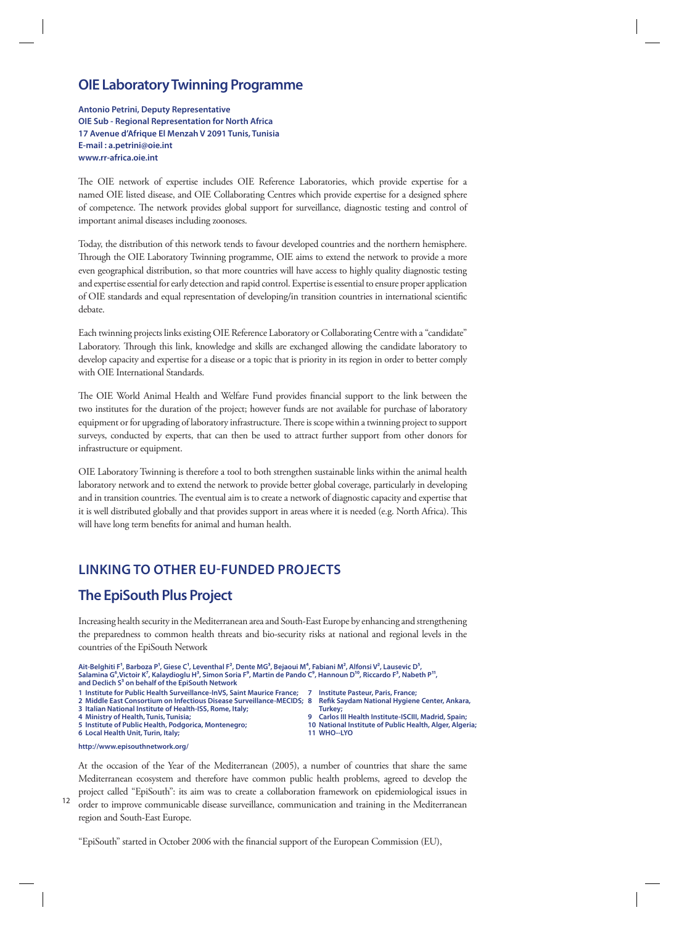### **OIE Laboratory Twinning Programme**

**Antonio Petrini, Deputy Representative OIE Sub - Regional Representation for North Africa 17 Avenue d'Afrique El Menzah V 2091 Tunis, Tunisia E-mail : a.petrini@oie.int www.rr-africa.oie.int**

The OIE network of expertise includes OIE Reference Laboratories, which provide expertise for a named OIE listed disease, and OIE Collaborating Centres which provide expertise for a designed sphere of competence. The network provides global support for surveillance, diagnostic testing and control of important animal diseases including zoonoses.

Today, the distribution of this network tends to favour developed countries and the northern hemisphere. Through the OIE Laboratory Twinning programme, OIE aims to extend the network to provide a more even geographical distribution, so that more countries will have access to highly quality diagnostic testing and expertise essential for early detection and rapid control. Expertise is essential to ensure proper application of OIE standards and equal representation of developing/in transition countries in international scientific debate.

Each twinning projects links existing OIE Reference Laboratory or Collaborating Centre with a "candidate" Laboratory. Through this link, knowledge and skills are exchanged allowing the candidate laboratory to develop capacity and expertise for a disease or a topic that is priority in its region in order to better comply with OIE International Standards.

The OIE World Animal Health and Welfare Fund provides financial support to the link between the two institutes for the duration of the project; however funds are not available for purchase of laboratory equipment or for upgrading of laboratory infrastructure. There is scope within a twinning project to support surveys, conducted by experts, that can then be used to attract further support from other donors for infrastructure or equipment.

OIE Laboratory Twinning is therefore a tool to both strengthen sustainable links within the animal health laboratory network and to extend the network to provide better global coverage, particularly in developing and in transition countries. The eventual aim is to create a network of diagnostic capacity and expertise that it is well distributed globally and that provides support in areas where it is needed (e.g. North Africa). This will have long term benefits for animal and human health.

# **LINKING TO OTHER EU-FUNDED PROJECTS**

# **The EpiSouth Plus Project**

Increasing health security in the Mediterranean area and South-East Europe by enhancing and strengthening the preparedness to common health threats and bio-security risks at national and regional levels in the countries of the EpiSouth Network

Ait-Belghiti F', Barboza P', Giese C', Leventhal F<sup>2</sup>, Dente MG<sup>3</sup>, Bejaoui M<sup>4</sup>, Fabiani M<sup>2</sup>, Alfonsi V<sup>2</sup>, Lausevic D<sup>5</sup>,<br>Salamina G<sup>6</sup>,Victoir K<sup>7</sup>, Kalaydioglu H<sup>3</sup>, Simon Soria F<sup>9</sup>, Martin de Pando C<sup>9</sup>, Hannoun D<sup>1</sup> **and Declich S3 on behalf of the EpiSouth Network**

**1 Institute for Public Health Surveillance-InVS, Saint Maurice France; 2 Middle East Consortium on Infectious Disease Surveillance-MECIDS;**

- **3 Italian National Institute of Health-ISS, Rome, Italy;**
- **4 Ministry of Health, Tunis, Tunisia;**

**5 Institute of Public Health, Podgorica, Montenegro; 6 Local Health Unit, Turin, Italy;** 

- **7 Institute Pasteur, Paris, France; 8 Refik Saydam National Hygiene Center, Ankara,**
- Turkey<br>**9** Carlos **9 Carlos III Health Institute-ISCIII, Madrid, Spain;**
- **10 National Institute of Public Health, Alger, Algeria; 11 WHO--LYO**

**http://www.episouthnetwork.org/**

At the occasion of the Year of the Mediterranean (2005), a number of countries that share the same Mediterranean ecosystem and therefore have common public health problems, agreed to develop the project called "EpiSouth": its aim was to create a collaboration framework on epidemiological issues in

<sup>12</sup> order to improve communicable disease surveillance, communication and training in the Mediterranean region and South-East Europe.

"EpiSouth" started in October 2006 with the financial support of the European Commission (EU),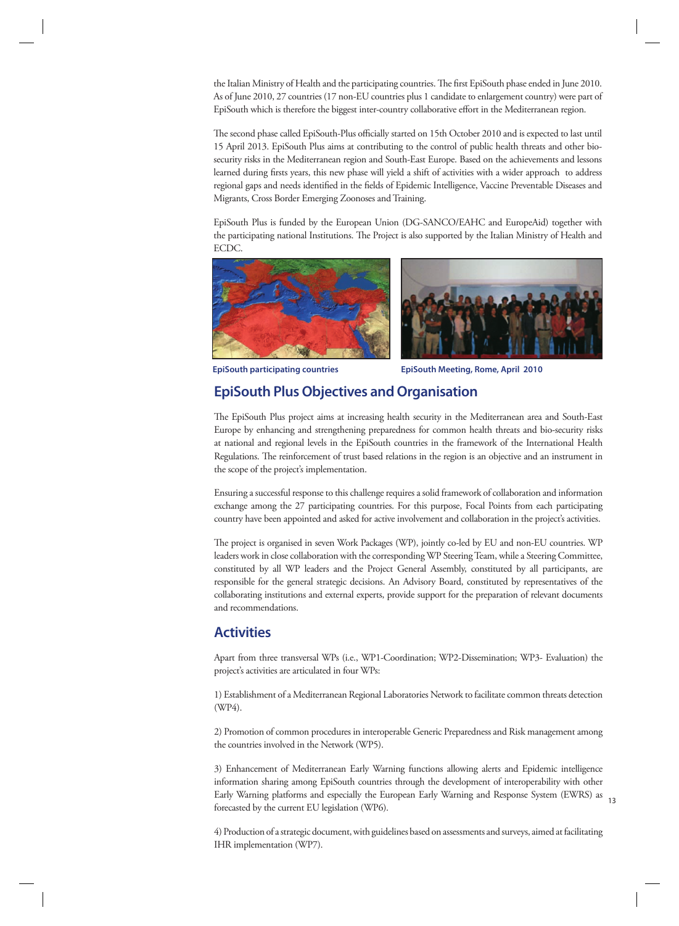the Italian Ministry of Health and the participating countries. The first EpiSouth phase ended in June 2010. As of June 2010, 27 countries (17 non-EU countries plus 1 candidate to enlargement country) were part of EpiSouth which is therefore the biggest inter-country collaborative effort in the Mediterranean region.

The second phase called EpiSouth-Plus officially started on 15th October 2010 and is expected to last until 15 April 2013. EpiSouth Plus aims at contributing to the control of public health threats and other biosecurity risks in the Mediterranean region and South-East Europe. Based on the achievements and lessons learned during firsts years, this new phase will yield a shift of activities with a wider approach to address regional gaps and needs identified in the fields of Epidemic Intelligence, Vaccine Preventable Diseases and Migrants, Cross Border Emerging Zoonoses and Training.

EpiSouth Plus is funded by the European Union (DG-SANCO/EAHC and EuropeAid) together with the participating national Institutions. The Project is also supported by the Italian Ministry of Health and ECDC.





**EpiSouth participating countries EpiSouth Meeting, Rome, April 2010**

# **EpiSouth Plus Objectives and Organisation**

The EpiSouth Plus project aims at increasing health security in the Mediterranean area and South-East Europe by enhancing and strengthening preparedness for common health threats and bio-security risks at national and regional levels in the EpiSouth countries in the framework of the International Health Regulations. The reinforcement of trust based relations in the region is an objective and an instrument in the scope of the project's implementation.

Ensuring a successful response to this challenge requires a solid framework of collaboration and information exchange among the 27 participating countries. For this purpose, Focal Points from each participating country have been appointed and asked for active involvement and collaboration in the project's activities.

The project is organised in seven Work Packages (WP), jointly co-led by EU and non-EU countries. WP leaders work in close collaboration with the corresponding WP Steering Team, while a Steering Committee, constituted by all WP leaders and the Project General Assembly, constituted by all participants, are responsible for the general strategic decisions. An Advisory Board, constituted by representatives of the collaborating institutions and external experts, provide support for the preparation of relevant documents and recommendations.

### **Activities**

Apart from three transversal WPs (i.e., WP1-Coordination; WP2-Dissemination; WP3- Evaluation) the project's activities are articulated in four WPs:

1) Establishment of a Mediterranean Regional Laboratories Network to facilitate common threats detection (WP4).

2) Promotion of common procedures in interoperable Generic Preparedness and Risk management among the countries involved in the Network (WP5).

3) Enhancement of Mediterranean Early Warning functions allowing alerts and Epidemic intelligence information sharing among EpiSouth countries through the development of interoperability with other Early Warning platforms and especially the European Early Warning and Response System (EWRS) as 13 forecasted by the current EU legislation (WP6).

> 4) Production of a strategic document, with guidelines based on assessments and surveys, aimed at facilitating IHR implementation (WP7).